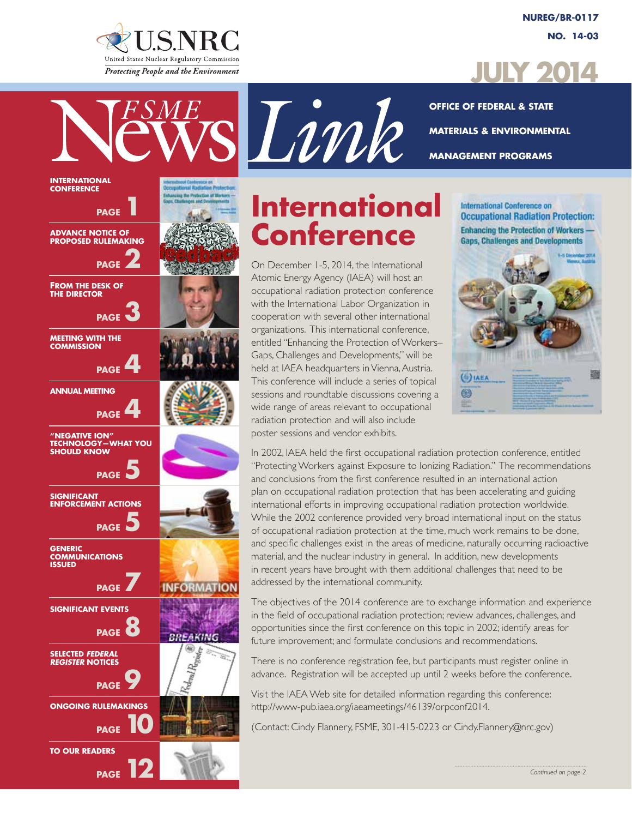

**International Conference**

**PAGE** 

**PAGE**<sup>2</sup>

**PAGE** 

 **PAGE** 

 **PAGE** 

 **PAGE** 

**PAGE** 

**PAGE** 

**INFORMATION** 

**BREAKING** 

**PAGE** 

**Advance Notice of Proposed Rulemaking**

**From the Desk of the Director**

**Meeting with the Commission**

**Annual Meeting**

**"Negative Ion" Technology—What You** 

**Should Know** 

**Significant** 

**Generic**

**Issued** 

**Enforcement Actions** 

**Communications** 

**Significant Events** 

**Selected** *Federal Register* **Notices**

**To Our Readers**

**PAGE** 

**Ongoing Rulemakings**

*PAGE* 10

**PAGE** 

**NUREG/BR-0117 No. 14-03**



sLink

**Office of Federal & State Materials & Environmental Management Programs**

# **International Conference**

On December 1-5, 2014, the International Atomic Energy Agency (IAEA) will host an occupational radiation protection conference with the International Labor Organization in cooperation with several other international organizations. This international conference, entitled "Enhancing the Protection of Workers– Gaps, Challenges and Developments," will be held at IAEA headquarters in Vienna, Austria. This conference will include a series of topical sessions and roundtable discussions covering a wide range of areas relevant to occupational radiation protection and will also include poster sessions and vendor exhibits.

International Conference on **Occupational Radiation Protection: Enhancing the Protection of Workers -Gaps, Challenges and Developments** 



In 2002, IAEA held the first occupational radiation protection conference, entitled "Protecting Workers against Exposure to Ionizing Radiation." The recommendations and conclusions from the first conference resulted in an international action plan on occupational radiation protection that has been accelerating and guiding international efforts in improving occupational radiation protection worldwide. While the 2002 conference provided very broad international input on the status of occupational radiation protection at the time, much work remains to be done, and specific challenges exist in the areas of medicine, naturally occurring radioactive material, and the nuclear industry in general. In addition, new developments in recent years have brought with them additional challenges that need to be addressed by the international community.

The objectives of the 2014 conference are to exchange information and experience in the field of occupational radiation protection; review advances, challenges, and opportunities since the first conference on this topic in 2002; identify areas for future improvement; and formulate conclusions and recommendations.

There is no conference registration fee, but participants must register online in advance. Registration will be accepted up until 2 weeks before the conference.

Visit the IAEA Web site for detailed information regarding this conference: http://www-pub.iaea.org/iaeameetings/46139/orpconf2014.

(Contact: Cindy Flannery, FSME, 301-415-0223 or Cindy.Flannery@nrc.gov)

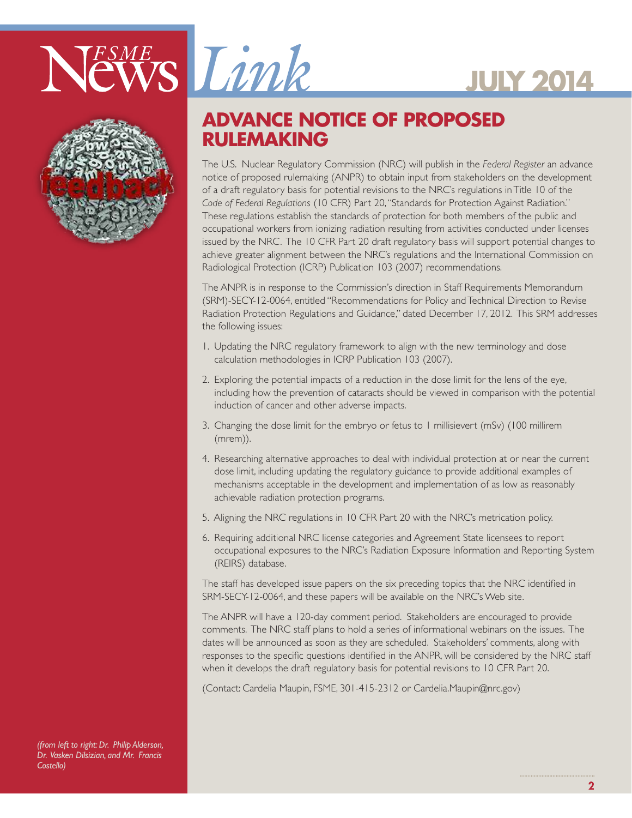



## **ADVANCE NOTICE OF PROPOSED RULEMAKING**

The U.S. Nuclear Regulatory Commission (NRC) will publish in the *Federal Register* an advance notice of proposed rulemaking (ANPR) to obtain input from stakeholders on the development of a draft regulatory basis for potential revisions to the NRC's regulations in Title 10 of the *Code of Federal Regulations* (10 CFR) Part 20, "Standards for Protection Against Radiation." These regulations establish the standards of protection for both members of the public and occupational workers from ionizing radiation resulting from activities conducted under licenses issued by the NRC. The 10 CFR Part 20 draft regulatory basis will support potential changes to achieve greater alignment between the NRC's regulations and the International Commission on Radiological Protection (ICRP) Publication 103 (2007) recommendations.

The ANPR is in response to the Commission's direction in Staff Requirements Memorandum (SRM)-SECY-12-0064, entitled "Recommendations for Policy and Technical Direction to Revise Radiation Protection Regulations and Guidance," dated December 17, 2012. This SRM addresses the following issues:

- 1. Updating the NRC regulatory framework to align with the new terminology and dose calculation methodologies in ICRP Publication 103 (2007).
- 2. Exploring the potential impacts of a reduction in the dose limit for the lens of the eye, including how the prevention of cataracts should be viewed in comparison with the potential induction of cancer and other adverse impacts.
- 3. Changing the dose limit for the embryo or fetus to 1 millisievert (mSv) (100 millirem (mrem)).
- 4. Researching alternative approaches to deal with individual protection at or near the current dose limit, including updating the regulatory guidance to provide additional examples of mechanisms acceptable in the development and implementation of as low as reasonably achievable radiation protection programs.
- 5. Aligning the NRC regulations in 10 CFR Part 20 with the NRC's metrication policy.
- 6. Requiring additional NRC license categories and Agreement State licensees to report occupational exposures to the NRC's Radiation Exposure Information and Reporting System (REIRS) database.

The staff has developed issue papers on the six preceding topics that the NRC identified in SRM-SECY-12-0064, and these papers will be available on the NRC's Web site.

The ANPR will have a 120-day comment period. Stakeholders are encouraged to provide comments. The NRC staff plans to hold a series of informational webinars on the issues. The dates will be announced as soon as they are scheduled. Stakeholders' comments, along with responses to the specific questions identified in the ANPR, will be considered by the NRC staff when it develops the draft regulatory basis for potential revisions to 10 CFR Part 20.

(Contact: Cardelia Maupin, FSME, 301-415-2312 or Cardelia.Maupin@nrc.gov)

*(from left to right: Dr. Philip Alderson, Dr. Vasken Dilsizian, and Mr. Francis Costello)*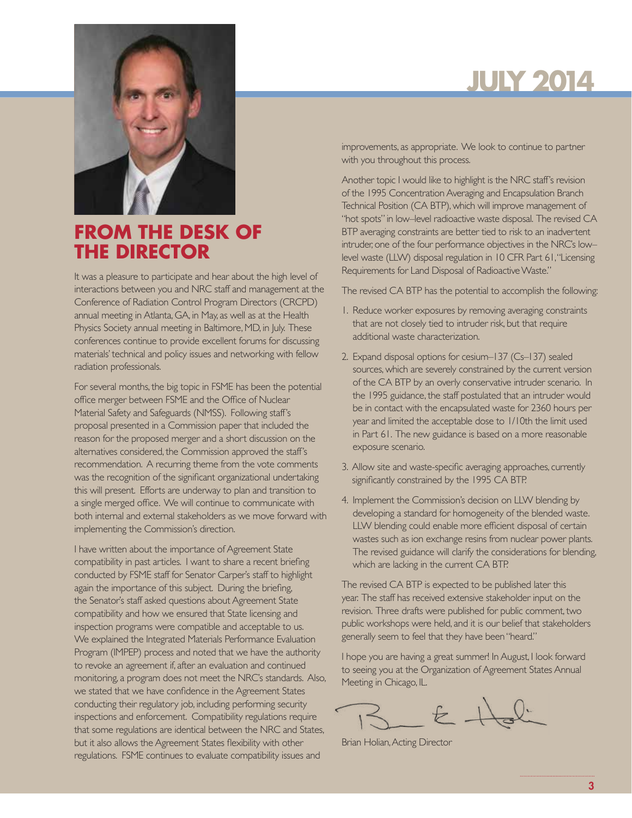

## **FROM THE DESK OF THE DIRECTOR**

It was a pleasure to participate and hear about the high level of interactions between you and NRC staff and management at the Conference of Radiation Control Program Directors (CRCPD) annual meeting in Atlanta, GA, in May, as well as at the Health Physics Society annual meeting in Baltimore, MD, in July. These conferences continue to provide excellent forums for discussing materials' technical and policy issues and networking with fellow radiation professionals.

For several months, the big topic in FSME has been the potential office merger between FSME and the Office of Nuclear Material Safety and Safeguards (NMSS). Following staff's proposal presented in a Commission paper that included the reason for the proposed merger and a short discussion on the alternatives considered, the Commission approved the staff's recommendation. A recurring theme from the vote comments was the recognition of the significant organizational undertaking this will present. Efforts are underway to plan and transition to a single merged office. We will continue to communicate with both internal and external stakeholders as we move forward with implementing the Commission's direction.

I have written about the importance of Agreement State compatibility in past articles. I want to share a recent briefing conducted by FSME staff for Senator Carper's staff to highlight again the importance of this subject. During the briefing, the Senator's staff asked questions about Agreement State compatibility and how we ensured that State licensing and inspection programs were compatible and acceptable to us. We explained the Integrated Materials Performance Evaluation Program (IMPEP) process and noted that we have the authority to revoke an agreement if, after an evaluation and continued monitoring, a program does not meet the NRC's standards. Also, we stated that we have confidence in the Agreement States conducting their regulatory job, including performing security inspections and enforcement. Compatibility regulations require that some regulations are identical between the NRC and States, but it also allows the Agreement States flexibility with other regulations. FSME continues to evaluate compatibility issues and

# **July 2014**

improvements, as appropriate. We look to continue to partner with you throughout this process.

Another topic I would like to highlight is the NRC staff's revision of the 1995 Concentration Averaging and Encapsulation Branch Technical Position (CA BTP), which will improve management of "hot spots" in low–level radioactive waste disposal. The revised CA BTP averaging constraints are better tied to risk to an inadvertent intruder, one of the four performance objectives in the NRC's low– level waste (LLW) disposal regulation in 10 CFR Part 61, "Licensing Requirements for Land Disposal of Radioactive Waste."

The revised CA BTP has the potential to accomplish the following:

- 1. Reduce worker exposures by removing averaging constraints that are not closely tied to intruder risk, but that require additional waste characterization.
- 2. Expand disposal options for cesium–137 (Cs–137) sealed sources, which are severely constrained by the current version of the CA BTP by an overly conservative intruder scenario. In the 1995 guidance, the staff postulated that an intruder would be in contact with the encapsulated waste for 2360 hours per year and limited the acceptable dose to 1/10th the limit used in Part 61. The new guidance is based on a more reasonable exposure scenario.
- 3. Allow site and waste-specific averaging approaches, currently significantly constrained by the 1995 CA BTP.
- 4. Implement the Commission's decision on LLW blending by developing a standard for homogeneity of the blended waste. LLW blending could enable more efficient disposal of certain wastes such as ion exchange resins from nuclear power plants. The revised guidance will clarify the considerations for blending, which are lacking in the current CA BTP.

The revised CA BTP is expected to be published later this year. The staff has received extensive stakeholder input on the revision. Three drafts were published for public comment, two public workshops were held, and it is our belief that stakeholders generally seem to feel that they have been "heard."

I hope you are having a great summer! In August, I look forward to seeing you at the Organization of Agreement States Annual Meeting in Chicago, IL.

Brian Holian, Acting Director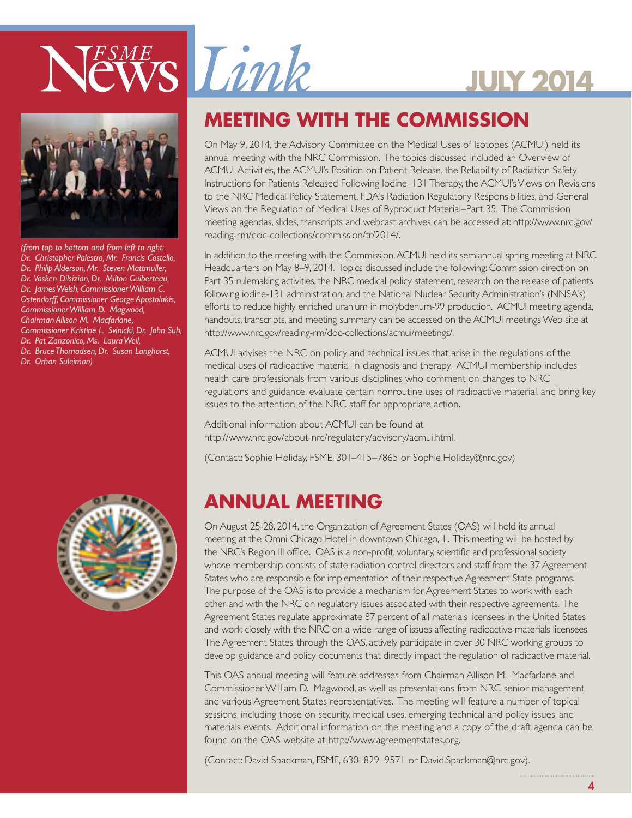



*(from top to bottom and from left to right: Dr. Christopher Palestro, Mr. Francis Costello, Dr. Philip Alderson, Mr. Steven Mattmuller, Dr. Vasken Dilsizian, Dr. Milton Guiberteau, Dr. James Welsh, Commissioner William C. Ostendorff, Commissioner George Apostolakis, Commissioner William D. Magwood, Chairman Allison M. Macfarlane, Commissioner Kristine L. Svinicki, Dr. John Suh, Dr. Pat Zanzonico, Ms. Laura Weil, Dr. Bruce Thomadsen, Dr. Susan Langhorst, Dr. Orhan Suleiman)*





# **Meeting with the Commission**

On May 9, 2014, the Advisory Committee on the Medical Uses of Isotopes (ACMUI) held its annual meeting with the NRC Commission. The topics discussed included an Overview of ACMUI Activities, the ACMUI's Position on Patient Release, the Reliability of Radiation Safety Instructions for Patients Released Following Iodine–131 Therapy, the ACMUI's Views on Revisions to the NRC Medical Policy Statement, FDA's Radiation Regulatory Responsibilities, and General Views on the Regulation of Medical Uses of Byproduct Material–Part 35. The Commission meeting agendas, slides, transcripts and webcast archives can be accessed at: http://www.nrc.gov/ reading-rm/doc-collections/commission/tr/2014/.

In addition to the meeting with the Commission, ACMUI held its semiannual spring meeting at NRC Headquarters on May 8–9, 2014. Topics discussed include the following: Commission direction on Part 35 rulemaking activities, the NRC medical policy statement, research on the release of patients following iodine-131 administration, and the National Nuclear Security Administration's (NNSA's) efforts to reduce highly enriched uranium in molybdenum-99 production. ACMUI meeting agenda, handouts, transcripts, and meeting summary can be accessed on the ACMUI meetings Web site at http://www.nrc.gov/reading-rm/doc-collections/acmui/meetings/.

ACMUI advises the NRC on policy and technical issues that arise in the regulations of the medical uses of radioactive material in diagnosis and therapy. ACMUI membership includes health care professionals from various disciplines who comment on changes to NRC regulations and guidance, evaluate certain nonroutine uses of radioactive material, and bring key issues to the attention of the NRC staff for appropriate action.

Additional information about ACMUI can be found at http://www.nrc.gov/about-nrc/regulatory/advisory/acmui.html.

(Contact: Sophie Holiday, FSME, 301–415–7865 or Sophie.Holiday@nrc.gov)

## **ANNUAL MEETING**

On August 25-28, 2014, the Organization of Agreement States (OAS) will hold its annual meeting at the Omni Chicago Hotel in downtown Chicago, IL. This meeting will be hosted by the NRC's Region III office. OAS is a non-profit, voluntary, scientific and professional society whose membership consists of state radiation control directors and staff from the 37 Agreement States who are responsible for implementation of their respective Agreement State programs. The purpose of the OAS is to provide a mechanism for Agreement States to work with each other and with the NRC on regulatory issues associated with their respective agreements. The Agreement States regulate approximate 87 percent of all materials licensees in the United States and work closely with the NRC on a wide range of issues affecting radioactive materials licensees. The Agreement States, through the OAS, actively participate in over 30 NRC working groups to develop guidance and policy documents that directly impact the regulation of radioactive material.

This OAS annual meeting will feature addresses from Chairman Allison M. Macfarlane and Commissioner William D. Magwood, as well as presentations from NRC senior management and various Agreement States representatives. The meeting will feature a number of topical sessions, including those on security, medical uses, emerging technical and policy issues, and materials events. Additional information on the meeting and a copy of the draft agenda can be found on the OAS website at http://www.agreementstates.org.

(Contact: David Spackman, FSME, 630–829–9571 or David.Spackman@nrc.gov).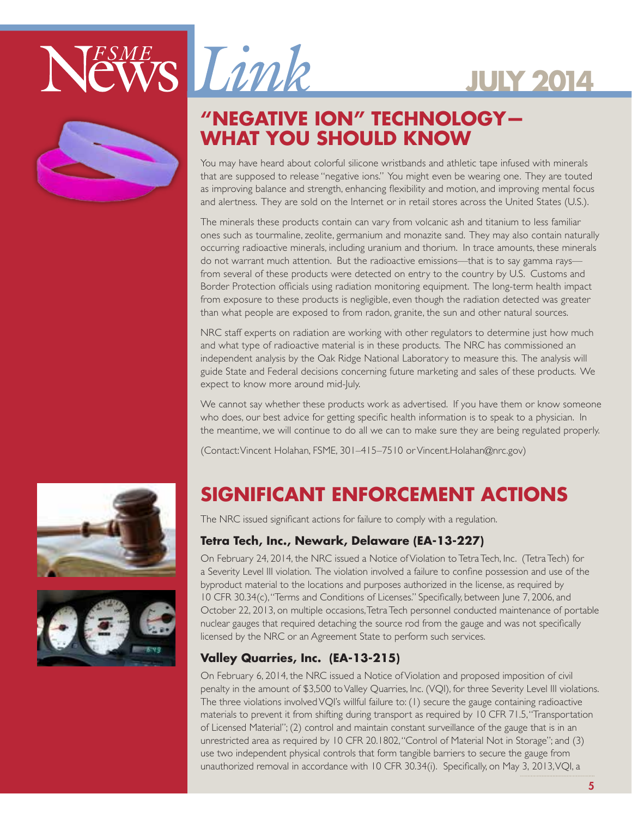



## **"Negative Ion" Technology— What you should know**

You may have heard about colorful silicone wristbands and athletic tape infused with minerals that are supposed to release "negative ions." You might even be wearing one. They are touted as improving balance and strength, enhancing flexibility and motion, and improving mental focus and alertness. They are sold on the Internet or in retail stores across the United States (U.S.).

**July 2014**

The minerals these products contain can vary from volcanic ash and titanium to less familiar ones such as tourmaline, zeolite, germanium and monazite sand. They may also contain naturally occurring radioactive minerals, including uranium and thorium. In trace amounts, these minerals do not warrant much attention. But the radioactive emissions—that is to say gamma rays from several of these products were detected on entry to the country by U.S. Customs and Border Protection officials using radiation monitoring equipment. The long-term health impact from exposure to these products is negligible, even though the radiation detected was greater than what people are exposed to from radon, granite, the sun and other natural sources.

NRC staff experts on radiation are working with other regulators to determine just how much and what type of radioactive material is in these products. The NRC has commissioned an independent analysis by the Oak Ridge National Laboratory to measure this. The analysis will guide State and Federal decisions concerning future marketing and sales of these products. We expect to know more around mid-July.

We cannot say whether these products work as advertised. If you have them or know someone who does, our best advice for getting specific health information is to speak to a physician. In the meantime, we will continue to do all we can to make sure they are being regulated properly.

(Contact: Vincent Holahan, FSME, 301–415–7510 or Vincent.Holahan@nrc.gov)





# **SIGNIFICANT ENFORCEMENT ACTIONS**

The NRC issued significant actions for failure to comply with a regulation.

### **Tetra Tech, Inc., Newark, Delaware (EA-13-227)**

On February 24, 2014, the NRC issued a Notice of Violation to Tetra Tech, Inc. (Tetra Tech) for a Severity Level III violation. The violation involved a failure to confine possession and use of the byproduct material to the locations and purposes authorized in the license, as required by 10 CFR 30.34(c), "Terms and Conditions of Licenses." Specifically, between June 7, 2006, and October 22, 2013, on multiple occasions, Tetra Tech personnel conducted maintenance of portable nuclear gauges that required detaching the source rod from the gauge and was not specifically licensed by the NRC or an Agreement State to perform such services.

### **Valley Quarries, Inc. (EA-13-215)**

On February 6, 2014, the NRC issued a Notice of Violation and proposed imposition of civil penalty in the amount of \$3,500 to Valley Quarries, Inc. (VQI), for three Severity Level III violations. The three violations involved VQI's willful failure to: (1) secure the gauge containing radioactive materials to prevent it from shifting during transport as required by 10 CFR 71.5, "Transportation of Licensed Material"; (2) control and maintain constant surveillance of the gauge that is in an unrestricted area as required by 10 CFR 20.1802, "Control of Material Not in Storage"; and (3) use two independent physical controls that form tangible barriers to secure the gauge from unauthorized removal in accordance with 10 CFR 30.34(i). Specifically, on May 3, 2013, VQI, a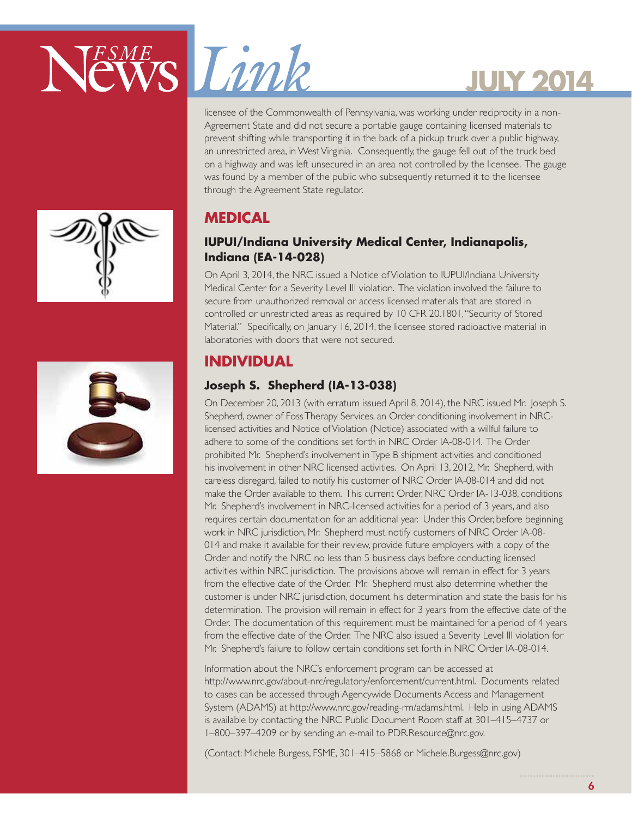



licensee of the Commonwealth of Pennsylvania, was working under reciprocity in a non-Agreement State and did not secure a portable gauge containing licensed materials to prevent shifting while transporting it in the back of a pickup truck over a public highway, an unrestricted area, in West Virginia. Consequently, the gauge fell out of the truck bed on a highway and was left unsecured in an area not controlled by the licensee. The gauge was found by a member of the public who subsequently returned it to the licensee through the Agreement State regulator.

## **Medical**

### **IUPUI/Indiana University Medical Center, Indianapolis, Indiana (EA-14-028)**

On April 3, 2014, the NRC issued a Notice of Violation to IUPUI/Indiana University Medical Center for a Severity Level III violation. The violation involved the failure to secure from unauthorized removal or access licensed materials that are stored in controlled or unrestricted areas as required by 10 CFR 20.1801, "Security of Stored Material." Specifically, on January 16, 2014, the licensee stored radioactive material in laboratories with doors that were not secured.

## **INDIVIDUAL**

## **Joseph S. Shepherd (IA-13-038)**

On December 20, 2013 (with erratum issued April 8, 2014), the NRC issued Mr. Joseph S. Shepherd, owner of Foss Therapy Services, an Order conditioning involvement in NRClicensed activities and Notice of Violation (Notice) associated with a willful failure to adhere to some of the conditions set forth in NRC Order IA-08-014. The Order prohibited Mr. Shepherd's involvement in Type B shipment activities and conditioned his involvement in other NRC licensed activities. On April 13, 2012, Mr. Shepherd, with careless disregard, failed to notify his customer of NRC Order IA-08-014 and did not make the Order available to them. This current Order, NRC Order IA-13-038, conditions Mr. Shepherd's involvement in NRC-licensed activities for a period of 3 years, and also requires certain documentation for an additional year. Under this Order, before beginning work in NRC jurisdiction, Mr. Shepherd must notify customers of NRC Order IA-08- 014 and make it available for their review, provide future employers with a copy of the Order and notify the NRC no less than 5 business days before conducting licensed activities within NRC jurisdiction. The provisions above will remain in effect for 3 years from the effective date of the Order. Mr. Shepherd must also determine whether the customer is under NRC jurisdiction, document his determination and state the basis for his determination. The provision will remain in effect for 3 years from the effective date of the Order. The documentation of this requirement must be maintained for a period of 4 years from the effective date of the Order. The NRC also issued a Severity Level III violation for Mr. Shepherd's failure to follow certain conditions set forth in NRC Order IA-08-014.

Information about the NRC's enforcement program can be accessed at http://www.nrc.gov/about-nrc/regulatory/enforcement/current.html. Documents related to cases can be accessed through Agencywide Documents Access and Management System (ADAMS) at http://www.nrc.gov/reading-rm/adams.html. Help in using ADAMS is available by contacting the NRC Public Document Room staff at 301–415–4737 or 1–800–397–4209 or by sending an e-mail to PDR.Resource@nrc.gov.

(Contact: Michele Burgess, FSME, 301–415–5868 or Michele.Burgess@nrc.gov)



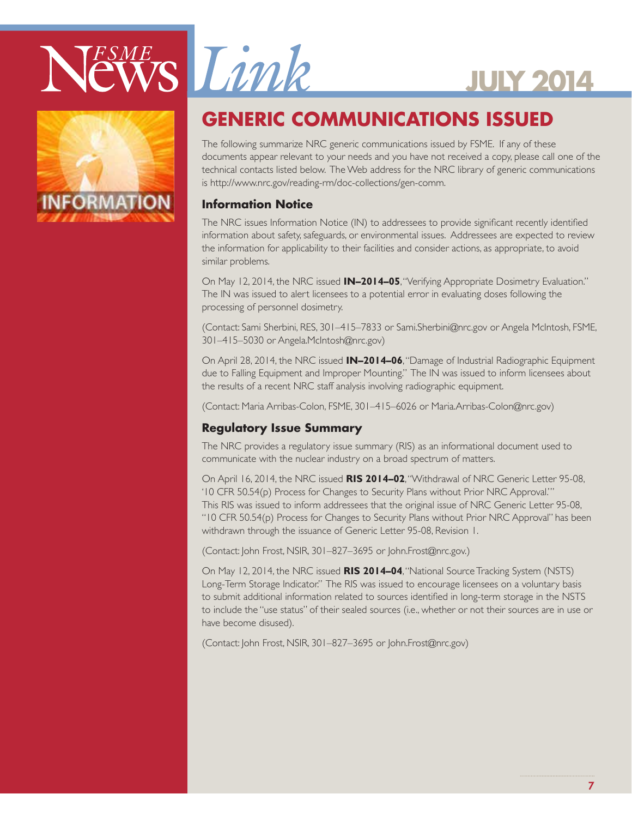





## **GENERIC COMMUNICATIONS ISSUED**

The following summarize NRC generic communications issued by FSME. If any of these documents appear relevant to your needs and you have not received a copy, please call one of the technical contacts listed below. The Web address for the NRC library of generic communications is http://www.nrc.gov/reading-rm/doc-collections/gen-comm.

### **Information Notice**

The NRC issues Information Notice (IN) to addressees to provide significant recently identified information about safety, safeguards, or environmental issues. Addressees are expected to review the information for applicability to their facilities and consider actions, as appropriate, to avoid similar problems.

On May 12, 2014, the NRC issued **IN–2014–05**, "Verifying Appropriate Dosimetry Evaluation." The IN was issued to alert licensees to a potential error in evaluating doses following the processing of personnel dosimetry.

(Contact: Sami Sherbini, RES, 301–415–7833 or Sami.Sherbini@nrc.gov or Angela McIntosh, FSME, 301–415–5030 or Angela.McIntosh@nrc.gov)

On April 28, 2014, the NRC issued **IN–2014–06**, "Damage of Industrial Radiographic Equipment due to Falling Equipment and Improper Mounting." The IN was issued to inform licensees about the results of a recent NRC staff analysis involving radiographic equipment.

(Contact: Maria Arribas-Colon, FSME, 301–415–6026 or Maria.Arribas-Colon@nrc.gov)

### **Regulatory Issue Summary**

The NRC provides a regulatory issue summary (RIS) as an informational document used to communicate with the nuclear industry on a broad spectrum of matters.

On April 16, 2014, the NRC issued **RIS 2014–02**, "Withdrawal of NRC Generic Letter 95-08, '10 CFR 50.54(p) Process for Changes to Security Plans without Prior NRC Approval.'" This RIS was issued to inform addressees that the original issue of NRC Generic Letter 95-08, "10 CFR 50.54(p) Process for Changes to Security Plans without Prior NRC Approval" has been withdrawn through the issuance of Generic Letter 95-08, Revision 1.

(Contact: John Frost, NSIR, 301–827–3695 or John.Frost@nrc.gov.)

On May 12, 2014, the NRC issued **RIS 2014–04**, "National Source Tracking System (NSTS) Long-Term Storage Indicator." The RIS was issued to encourage licensees on a voluntary basis to submit additional information related to sources identified in long-term storage in the NSTS to include the "use status" of their sealed sources (i.e., whether or not their sources are in use or have become disused).

(Contact: John Frost, NSIR, 301–827–3695 or John.Frost@nrc.gov)

7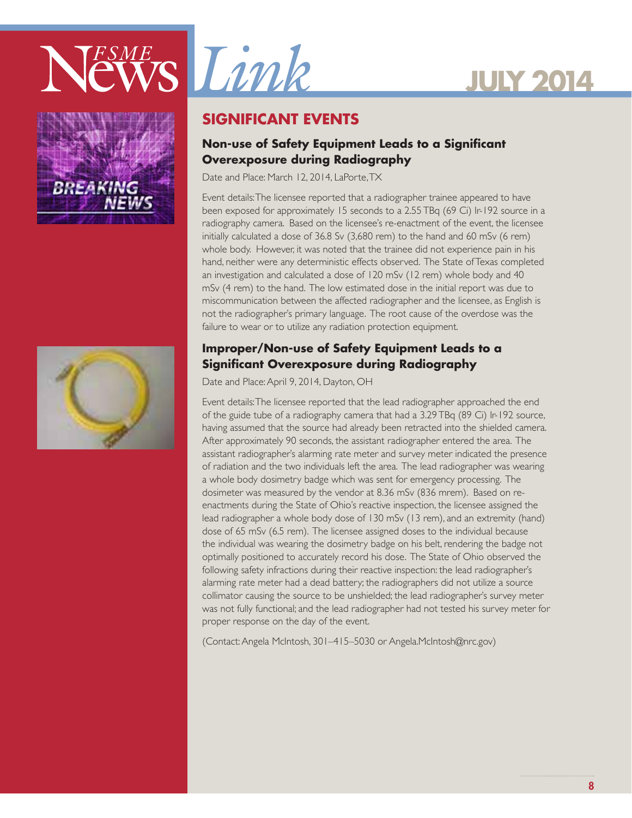





## **SIGNIFICANT EVENTS**

### **Non-use of Safety Equipment Leads to a Significant Overexposure during Radiography**

Date and Place: March 12, 2014, LaPorte, TX

Event details: The licensee reported that a radiographer trainee appeared to have been exposed for approximately 15 seconds to a 2.55 TBq (69 Ci) Ir-192 source in a radiography camera. Based on the licensee's re-enactment of the event, the licensee initially calculated a dose of 36.8 Sv (3,680 rem) to the hand and 60 mSv (6 rem) whole body. However, it was noted that the trainee did not experience pain in his hand, neither were any deterministic effects observed. The State of Texas completed an investigation and calculated a dose of 120 mSv (12 rem) whole body and 40 mSv (4 rem) to the hand. The low estimated dose in the initial report was due to miscommunication between the affected radiographer and the licensee, as English is not the radiographer's primary language. The root cause of the overdose was the failure to wear or to utilize any radiation protection equipment.

### **Improper/Non-use of Safety Equipment Leads to a Significant Overexposure during Radiography**

Date and Place: April 9, 2014, Dayton, OH

Event details: The licensee reported that the lead radiographer approached the end of the guide tube of a radiography camera that had a 3.29 TBq (89 Ci) Ir-192 source, having assumed that the source had already been retracted into the shielded camera. After approximately 90 seconds, the assistant radiographer entered the area. The assistant radiographer's alarming rate meter and survey meter indicated the presence of radiation and the two individuals left the area. The lead radiographer was wearing a whole body dosimetry badge which was sent for emergency processing. The dosimeter was measured by the vendor at 8.36 mSv (836 mrem). Based on reenactments during the State of Ohio's reactive inspection, the licensee assigned the lead radiographer a whole body dose of 130 mSv (13 rem), and an extremity (hand) dose of 65 mSv (6.5 rem). The licensee assigned doses to the individual because the individual was wearing the dosimetry badge on his belt, rendering the badge not optimally positioned to accurately record his dose. The State of Ohio observed the following safety infractions during their reactive inspection: the lead radiographer's alarming rate meter had a dead battery; the radiographers did not utilize a source collimator causing the source to be unshielded; the lead radiographer's survey meter was not fully functional; and the lead radiographer had not tested his survey meter for proper response on the day of the event.

(Contact: Angela McIntosh, 301–415–5030 or Angela.McIntosh@nrc.gov)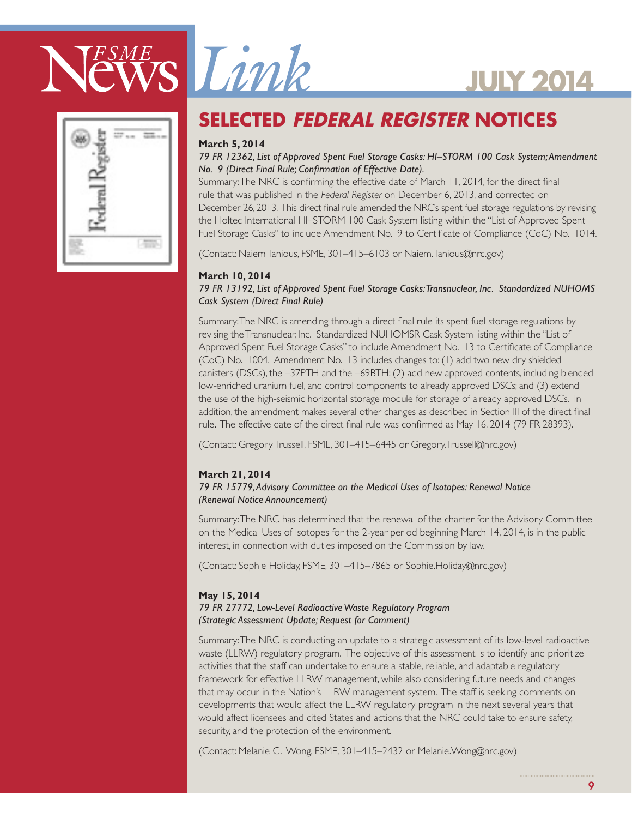





## **Selected Federal Register Notices**

### **March 5, 2014**

#### *79 FR 12362, List of Approved Spent Fuel Storage Casks: HI–STORM 100 Cask System; Amendment No. 9 (Direct Final Rule; Confirmation of Effective Date).*

Summary: The NRC is confirming the effective date of March 11, 2014, for the direct final rule that was published in the *Federal Register* on December 6, 2013, and corrected on December 26, 2013. This direct final rule amended the NRC's spent fuel storage regulations by revising the Holtec International HI–STORM 100 Cask System listing within the ''List of Approved Spent Fuel Storage Casks'' to include Amendment No. 9 to Certificate of Compliance (CoC) No. 1014.

(Contact: Naiem Tanious, FSME, 301–415–6103 or Naiem.Tanious@nrc.gov)

#### **March 10, 2014**

#### *79 FR 13192, List of Approved Spent Fuel Storage Casks: Transnuclear, Inc. Standardized NUHOMS Cask System (Direct Final Rule)*

Summary: The NRC is amending through a direct final rule its spent fuel storage regulations by revising the Transnuclear, Inc. Standardized NUHOMSR Cask System listing within the ''List of Approved Spent Fuel Storage Casks'' to include Amendment No. 13 to Certificate of Compliance (CoC) No. 1004. Amendment No. 13 includes changes to: (1) add two new dry shielded canisters (DSCs), the –37PTH and the –69BTH; (2) add new approved contents, including blended low-enriched uranium fuel, and control components to already approved DSCs; and (3) extend the use of the high-seismic horizontal storage module for storage of already approved DSCs. In addition, the amendment makes several other changes as described in Section III of the direct final rule. The effective date of the direct final rule was confirmed as May 16, 2014 (79 FR 28393).

(Contact: Gregory Trussell, FSME, 301–415–6445 or Gregory.Trussell@nrc.gov)

### **March 21, 2014**

#### *79 FR 15779, Advisory Committee on the Medical Uses of Isotopes: Renewal Notice (Renewal Notice Announcement)*

Summary: The NRC has determined that the renewal of the charter for the Advisory Committee on the Medical Uses of Isotopes for the 2-year period beginning March 14, 2014, is in the public interest, in connection with duties imposed on the Commission by law.

(Contact: Sophie Holiday, FSME, 301–415–7865 or Sophie.Holiday@nrc.gov)

#### **May 15, 2014**  *79 FR 27772, Low-Level Radioactive Waste Regulatory Program (Strategic Assessment Update; Request for Comment)*

Summary: The NRC is conducting an update to a strategic assessment of its low-level radioactive waste (LLRW) regulatory program. The objective of this assessment is to identify and prioritize activities that the staff can undertake to ensure a stable, reliable, and adaptable regulatory framework for effective LLRW management, while also considering future needs and changes that may occur in the Nation's LLRW management system. The staff is seeking comments on developments that would affect the LLRW regulatory program in the next several years that would affect licensees and cited States and actions that the NRC could take to ensure safety, security, and the protection of the environment.

(Contact: Melanie C. Wong, FSME, 301–415–2432 or Melanie.Wong@nrc.gov)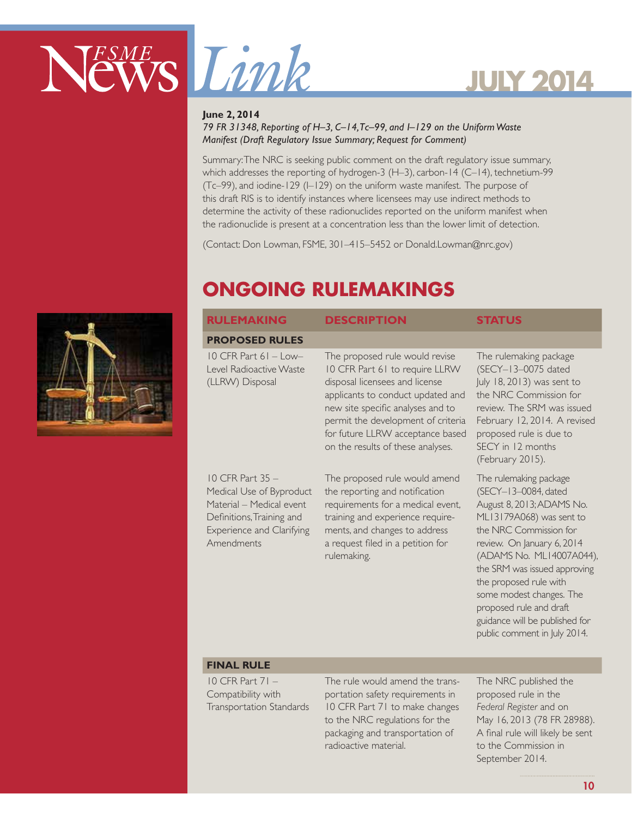



#### **June 2, 2014**

#### *79 FR 31348, Reporting of H–3, C–14, Tc–99, and I–129 on the Uniform Waste Manifest (Draft Regulatory Issue Summary; Request for Comment)*

Summary: The NRC is seeking public comment on the draft regulatory issue summary, which addresses the reporting of hydrogen-3 (H–3), carbon-14 (C–14), technetium-99 (Tc–99), and iodine-129 (I–129) on the uniform waste manifest. The purpose of this draft RIS is to identify instances where licensees may use indirect methods to determine the activity of these radionuclides reported on the uniform manifest when the radionuclide is present at a concentration less than the lower limit of detection.

(Contact: Don Lowman, FSME, 301–415–5452 or Donald.Lowman@nrc.gov)

## **ONGOING RULEMAKINGS**

| <b>RULEMAKING</b>                                                                                                                                           | <b>DESCRIPTION</b>                                                                                                                                                                                                                                                                          | <b>STATUS</b>                                                                                                                                                                                                                                                                                                                                                                  |
|-------------------------------------------------------------------------------------------------------------------------------------------------------------|---------------------------------------------------------------------------------------------------------------------------------------------------------------------------------------------------------------------------------------------------------------------------------------------|--------------------------------------------------------------------------------------------------------------------------------------------------------------------------------------------------------------------------------------------------------------------------------------------------------------------------------------------------------------------------------|
| <b>PROPOSED RULES</b>                                                                                                                                       |                                                                                                                                                                                                                                                                                             |                                                                                                                                                                                                                                                                                                                                                                                |
| $10$ CFR Part $61$ - Low-<br>Level Radioactive Waste<br>(LLRW) Disposal                                                                                     | The proposed rule would revise<br>10 CFR Part 61 to require LLRW<br>disposal licensees and license<br>applicants to conduct updated and<br>new site specific analyses and to<br>permit the development of criteria<br>for future LLRW acceptance based<br>on the results of these analyses. | The rulemaking package<br>(SECY-13-0075 dated<br>July 18, 2013) was sent to<br>the NRC Commission for<br>review. The SRM was issued<br>February 12, 2014. A revised<br>proposed rule is due to<br>SECY in 12 months<br>(February 2015).                                                                                                                                        |
| $10$ CFR Part 35 $-$<br>Medical Use of Byproduct<br>Material - Medical event<br>Definitions, Training and<br><b>Experience and Clarifying</b><br>Amendments | The proposed rule would amend<br>the reporting and notification<br>requirements for a medical event,<br>training and experience require-<br>ments, and changes to address<br>a request filed in a petition for<br>rulemaking.                                                               | The rulemaking package<br>(SECY-13-0084, dated<br>August 8, 2013; ADAMS No.<br>ML13179A068) was sent to<br>the NRC Commission for<br>review. On January 6, 2014<br>(ADAMS No. ML14007A044),<br>the SRM was issued approving<br>the proposed rule with<br>some modest changes. The<br>proposed rule and draft<br>guidance will be published for<br>public comment in July 2014. |
| <b>FINAL RULE</b>                                                                                                                                           |                                                                                                                                                                                                                                                                                             |                                                                                                                                                                                                                                                                                                                                                                                |
| $10$ CFR Part 71 $-$                                                                                                                                        | The rule would amend the trans-                                                                                                                                                                                                                                                             | The NRC published the                                                                                                                                                                                                                                                                                                                                                          |

10 CFR Part 71 – Compatibility with Transportation Standards

The rule would amend the transportation safety requirements in 10 CFR Part 71 to make changes to the NRC regulations for the packaging and transportation of radioactive material.

The NRC published the proposed rule in the *Federal Register* and on May 16, 2013 (78 FR 28988). A final rule will likely be sent to the Commission in September 2014.

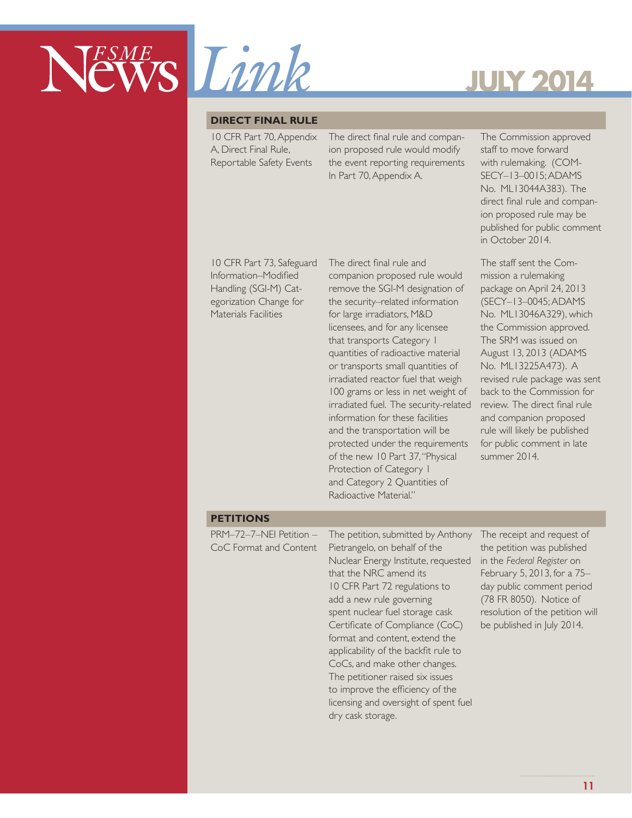

#### **DIRECT FINAL RULE**

10 CFR Part 70, Appendix A, Direct Final Rule, Reportable Safety Events

The direct final rule and companion proposed rule would modify the event reporting requirements In Part 70, Appendix A.

10 CFR Part 73, Safeguard Information–Modified Handling (SGI-M) Categorization Change for Materials Facilities

The direct final rule and companion proposed rule would remove the SGI-M designation of the security–related information for large irradiators, M&D licensees, and for any licensee that transports Category 1 quantities of radioactive material or transports small quantities of irradiated reactor fuel that weigh 100 grams or less in net weight of irradiated fuel. The security-related information for these facilities and the transportation will be protected under the requirements of the new 10 Part 37, "Physical Protection of Category 1 and Category 2 Quantities of Radioactive Material."

The Commission approved staff to move forward with rulemaking. (COM-SECY–13–0015; ADAMS No. ML13044A383). The direct final rule and companion proposed rule may be published for public comment in October 2014.

The staff sent the Commission a rulemaking package on April 24, 2013 (SECY–13–0045; ADAMS No. ML13046A329), which the Commission approved. The SRM was issued on August 13, 2013 (ADAMS No. ML13225A473). A revised rule package was sent back to the Commission for review. The direct final rule and companion proposed rule will likely be published for public comment in late summer 2014.

#### **PETITIONS**

PRM–72–7–NEI Petition – CoC Format and Content The petition, submitted by Anthony Pietrangelo, on behalf of the Nuclear Energy Institute, requested that the NRC amend its 10 CFR Part 72 regulations to add a new rule governing spent nuclear fuel storage cask Certificate of Compliance (CoC) format and content, extend the applicability of the backfit rule to CoCs, and make other changes. The petitioner raised six issues to improve the efficiency of the licensing and oversight of spent fuel dry cask storage.

The receipt and request of the petition was published in the *Federal Register* on February 5, 2013, for a 75– day public comment period (78 FR 8050). Notice of resolution of the petition will be published in July 2014.